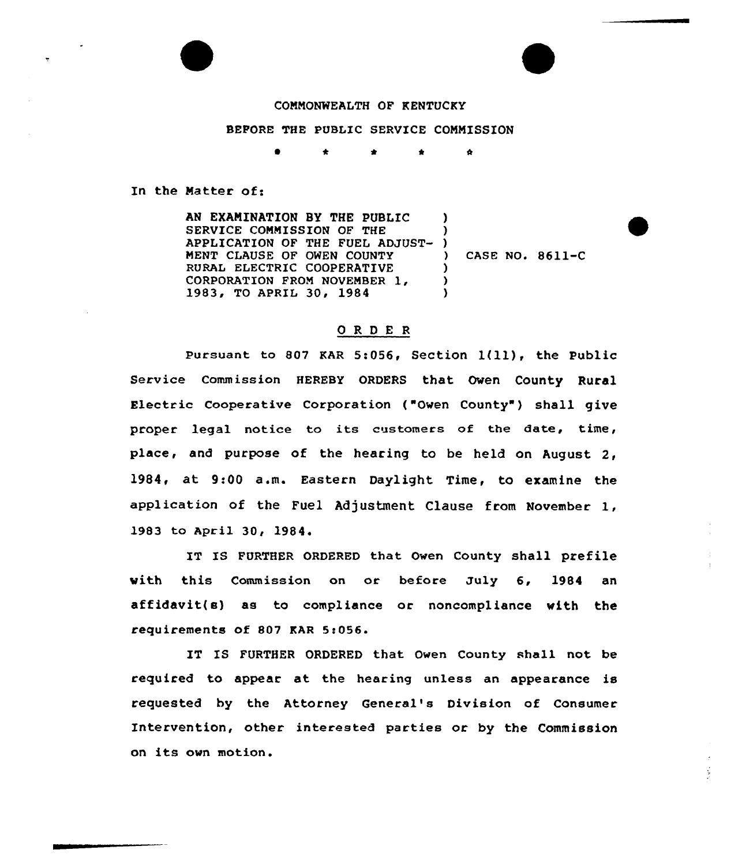## COMMONWEALTH OF KENTUCKY

## BEFORE THE PUBLIC SERVICE COMMISSION

 $\mathbf{a}$ 

In the Matter of:

AN EXAMINATION BY THE PUBLIC SERVICE CONNISSION OF THE APPLICATION OF THE FUEL ADJUST-MENT CLAUSE OF OWEN COUNTY RURAL ELECTRIC COOPERATIVE CORPORATION FROM NOVEMBER 1,<br>1983, TO APRIL 30, 1984 ) ) ) ) ) )

) CASE NO. 8611-C

## ORDER

Pursuant to <sup>807</sup> KAR 5:056, Section 1(ll), the Public Service Commission HEREBY ORDERS that Owen County Rural Electric Cooperative Corporation ("Owen County" ) shall give proper legal notice to its customers of the date, time, place, and purpose of the hearing to be held on August 2, 1984, at 9:00 a.m. Eastern Daylight Time, to examine the application of the Fuel Adjustment Clause from November 1, 1983 to April 30, 1984

IT IS FURTHER ORDERED that Owen County shall prefile with this Commission on or before July 6, 1984 an affidavit(s) as to compliance or noncompliance with the requirements of 807 KAR 5:056.

IT IS FURTHER ORDERED that Owen County shell not be required to appear at the hearing unless an appearance is requested by the Attorney General's Division of Consumer Intervention, other interested parties or by the Commission on its ovn motion.